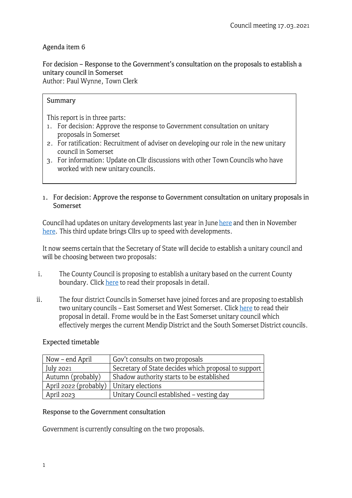# Agenda item 6

For decision - Response to the Government's consultation on the proposals to establish a unitary council in Somerset Author: Paul Wynne, Town Clerk

#### **Summary**

This report is in three parts:

- 1. For decision: Approve the response to Government consultation on unitary proposals in Somerset
- 2. For ratification: Recruitment of adviser on developing our role in the new unitary council in Somerset
- 3. For information: Update on Cllr discussions with other Town Councils who have worked with new unitary councils.
- 1. For decision: Approve the response to Government consultation on unitary proposals in Somerset

Council had updates on unitary developments last year in June [here](https://www.frometowncouncil.gov.uk/wp-content/uploads/2020/06/Agenda-item-3-For-decision-next-steps-on-LGR-1.pdf) and then in November [here](https://www.frometowncouncil.gov.uk/wp-content/uploads/2020/01/Agenda-item-5-For-information-Update-on-the-unitary-Somerset-programme.pdf). This third update brings Cllrs up to speed with developments.

It now seems certain that the Secretary of State will decide to establish a unitary council and will be choosing between two proposals:

- i. The County Council is proposing to establish a unitary based on the current County boundary. Clic[k here](https://onesomerset.org.uk/proposals/) to read their proposals in detail.
- ii. The four district Councils in Somerset have joined forces and are proposing to establish two unitary councils - East Somerset and West Somerset. Click [here](https://www.strongersomerset.co.uk/) to read their proposal in detail. Frome would be in the East Somerset unitary council which effectively merges the current Mendip District and the South Somerset District councils.

## Expected timetable

| Now – end April       | Gov't consults on two proposals                      |
|-----------------------|------------------------------------------------------|
| July 2021             | Secretary of State decides which proposal to support |
| Autumn (probably)     | Shadow authority starts to be established            |
| April 2022 (probably) | Unitary elections                                    |
| April $2023$          | Unitary Council established - vesting day            |

## Response to the Government consultation

Government is currently consulting on the two proposals.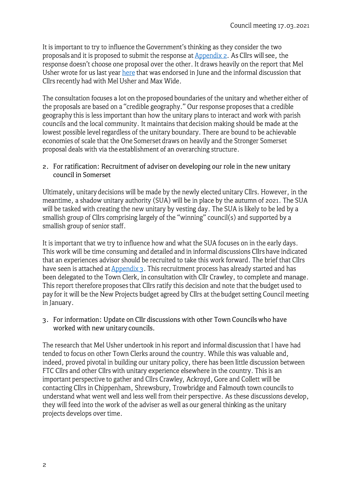It is important to try to influence the Government's thinking as they consider the two proposals and it is proposed to submit the response at **Appendix 2.** As Cllrs will see, the response doesn't choose one proposal over the other. It draws heavily on the report that Mel Usher wrote for us last year [here](https://www.frometowncouncil.gov.uk/wp-content/uploads/2020/06/Appenidx-1-LGR-report-by-Mel-Usher-final.pdf) that was endorsed in June and the informal discussion that Cllrs recently had with Mel Usher and Max Wide.

The consultation focuses a lot on the proposed boundaries of the unitary and whether either of the proposals are based on a "credible geography." Our response proposes that a credible geography this is less important than how the unitary plans to interact and work with parish councils and the local community. It maintains that decision making should be made at the lowest possible level regardless of the unitary boundary. There are bound to be achievable economies of scale that the One Somerset draws on heavily and the Stronger Somerset proposal deals with via the establishment of an overarching structure.

#### 2. For ratification: Recruitment of adviser on developing our role in the new unitary council in Somerset

Ultimately, unitary decisions will be made by the newly elected unitary Cllrs. However, in the meantime, a shadow unitary authority (SUA) will be in place by the autumn of 2021. The SUA will be tasked with creating the new unitary by vesting day. The SUA is likely to be led by a smallish group of Cllrs comprising largely of the "winning" council(s) and supported by a smallish group of senior staff.

It is important that we try to influence how and what the SUA focuses on in the early days. This work will be time consuming and detailed and in informal discussions Cllrs have indicated that an experiences advisor should be recruited to take this work forward. The brief that Cllrs have seen is attached a[t Appendix 3.](https://www.frometowncouncil.gov.uk/wp-content/uploads/2021/03/Appendix-3-Brief-to-advise-Frome-Town-Council-in-the-run-up-to-and-establishment-of-unitary-authority.pdf) This recruitment process has already started and has been delegated to the Town Clerk, in consultation with Cllr Crawley, to complete and manage. This report therefore proposes that Cllrs ratify this decision and note that the budget used to pay for it will be the New Projects budget agreed by Cllrs at the budget setting Council meeting in January.

3. For information: Update on Cllr discussions with other Town Councils who have worked with new unitary councils.

The research that Mel Usher undertook in his report and informal discussion that I have had tended to focus on other Town Clerks around the country. While this was valuable and, indeed, proved pivotal in building our unitary policy, there has been little discussion between FTC Cllrs and other Cllrs with unitary experience elsewhere in the country. This is an important perspective to gather and Cllrs Crawley, Ackroyd, Gore and Collett will be contacting Cllrs in Chippenham, Shrewsbury, Trowbridge and Falmouth town councils to understand what went well and less well from their perspective. As these discussions develop, they will feed into the work of the adviser as well as our general thinking as the unitary projects develops over time.